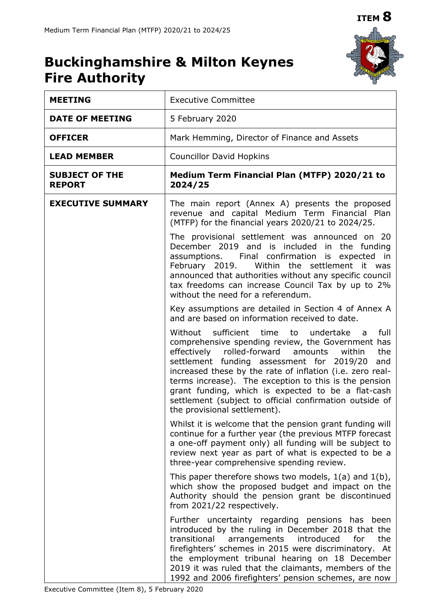

# **Buckinghamshire & Milton Keynes Fire Authority**

| <b>MEETING</b>                         | <b>Executive Committee</b>                                                                                                                                                                                                                                                                                                                                                                                                                                                                             |  |  |  |
|----------------------------------------|--------------------------------------------------------------------------------------------------------------------------------------------------------------------------------------------------------------------------------------------------------------------------------------------------------------------------------------------------------------------------------------------------------------------------------------------------------------------------------------------------------|--|--|--|
| <b>DATE OF MEETING</b>                 | 5 February 2020                                                                                                                                                                                                                                                                                                                                                                                                                                                                                        |  |  |  |
| <b>OFFICER</b>                         | Mark Hemming, Director of Finance and Assets                                                                                                                                                                                                                                                                                                                                                                                                                                                           |  |  |  |
| <b>LEAD MEMBER</b>                     | <b>Councillor David Hopkins</b>                                                                                                                                                                                                                                                                                                                                                                                                                                                                        |  |  |  |
| <b>SUBJECT OF THE</b><br><b>REPORT</b> | Medium Term Financial Plan (MTFP) 2020/21 to<br>2024/25                                                                                                                                                                                                                                                                                                                                                                                                                                                |  |  |  |
| <b>EXECUTIVE SUMMARY</b>               | The main report (Annex A) presents the proposed<br>revenue and capital Medium Term Financial Plan<br>(MTFP) for the financial years 2020/21 to 2024/25.                                                                                                                                                                                                                                                                                                                                                |  |  |  |
|                                        | The provisional settlement was announced on 20<br>December 2019 and is included in the funding<br>assumptions. Final confirmation is expected in<br>February 2019.<br>the settlement it was<br>Within<br>announced that authorities without any specific council<br>tax freedoms can increase Council Tax by up to 2%<br>without the need for a referendum.                                                                                                                                            |  |  |  |
|                                        | Key assumptions are detailed in Section 4 of Annex A<br>and are based on information received to date.                                                                                                                                                                                                                                                                                                                                                                                                 |  |  |  |
|                                        | Without sufficient time<br>undertake<br>full<br>to<br>a a<br>comprehensive spending review, the Government has<br>effectively<br>rolled-forward<br>amounts<br>the<br>within<br>settlement funding assessment for 2019/20<br>and<br>increased these by the rate of inflation (i.e. zero real-<br>terms increase). The exception to this is the pension<br>grant funding, which is expected to be a flat-cash<br>settlement (subject to official confirmation outside of<br>the provisional settlement). |  |  |  |
|                                        | Whilst it is welcome that the pension grant funding will<br>continue for a further year (the previous MTFP forecast<br>a one-off payment only) all funding will be subject to<br>review next year as part of what is expected to be a<br>three-year comprehensive spending review.                                                                                                                                                                                                                     |  |  |  |
|                                        | This paper therefore shows two models, $1(a)$ and $1(b)$ ,<br>which show the proposed budget and impact on the<br>Authority should the pension grant be discontinued<br>from 2021/22 respectively.                                                                                                                                                                                                                                                                                                     |  |  |  |
|                                        | Further uncertainty regarding pensions has been<br>introduced by the ruling in December 2018 that the<br>transitional<br>introduced<br>the<br>arrangements<br>for<br>firefighters' schemes in 2015 were discriminatory. At<br>the employment tribunal hearing on 18 December<br>2019 it was ruled that the claimants, members of the<br>1992 and 2006 firefighters' pension schemes, are now                                                                                                           |  |  |  |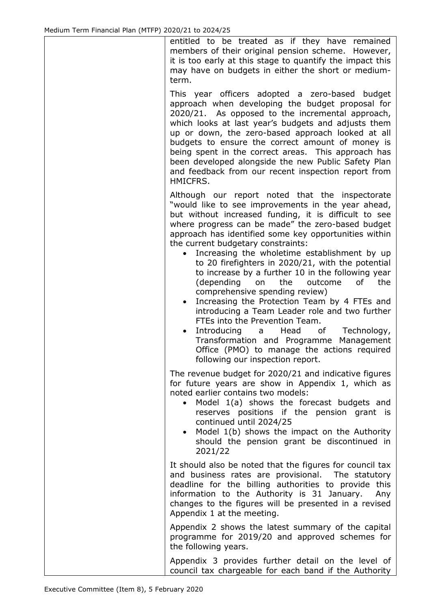entitled to be treated as if they have remained members of their original pension scheme. However, it is too early at this stage to quantify the impact this may have on budgets in either the short or mediumterm.

This year officers adopted a zero-based budget approach when developing the budget proposal for 2020/21. As opposed to the incremental approach, which looks at last year's budgets and adjusts them up or down, the zero-based approach looked at all budgets to ensure the correct amount of money is being spent in the correct areas. This approach has been developed alongside the new Public Safety Plan and feedback from our recent inspection report from HMICFRS.

Although our report noted that the inspectorate "would like to see improvements in the year ahead, but without increased funding, it is difficult to see where progress can be made" the zero-based budget approach has identified some key opportunities within the current budgetary constraints:

- Increasing the wholetime establishment by up to 20 firefighters in 2020/21, with the potential to increase by a further 10 in the following year (depending on the outcome of the comprehensive spending review)
- Increasing the Protection Team by 4 FTEs and introducing a Team Leader role and two further FTEs into the Prevention Team.
- Introducing a Head of Technology, Transformation and Programme Management Office (PMO) to manage the actions required following our inspection report.

The revenue budget for 2020/21 and indicative figures for future years are show in Appendix 1, which as noted earlier contains two models:

- Model 1(a) shows the forecast budgets and reserves positions if the pension grant is continued until 2024/25
- Model 1(b) shows the impact on the Authority should the pension grant be discontinued in 2021/22

It should also be noted that the figures for council tax and business rates are provisional. The statutory deadline for the billing authorities to provide this information to the Authority is 31 January. Any changes to the figures will be presented in a revised Appendix 1 at the meeting.

Appendix 2 shows the latest summary of the capital programme for 2019/20 and approved schemes for the following years.

Appendix 3 provides further detail on the level of council tax chargeable for each band if the Authority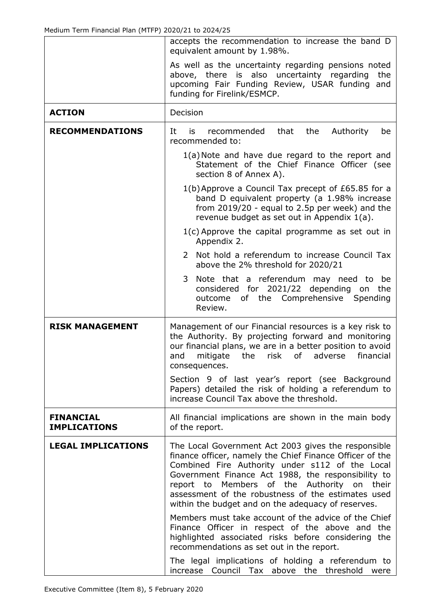|                                         | accepts the recommendation to increase the band D<br>equivalent amount by 1.98%.                                                                                                                                                                                                                                                                                                          |  |  |  |  |  |
|-----------------------------------------|-------------------------------------------------------------------------------------------------------------------------------------------------------------------------------------------------------------------------------------------------------------------------------------------------------------------------------------------------------------------------------------------|--|--|--|--|--|
|                                         | As well as the uncertainty regarding pensions noted<br>above, there is also uncertainty regarding<br>the<br>upcoming Fair Funding Review, USAR funding and<br>funding for Firelink/ESMCP.                                                                                                                                                                                                 |  |  |  |  |  |
| <b>ACTION</b>                           | Decision                                                                                                                                                                                                                                                                                                                                                                                  |  |  |  |  |  |
| <b>RECOMMENDATIONS</b>                  | that<br>Authority<br>It<br>recommended<br>the<br>is<br>be<br>recommended to:                                                                                                                                                                                                                                                                                                              |  |  |  |  |  |
|                                         | 1(a) Note and have due regard to the report and<br>Statement of the Chief Finance Officer (see<br>section 8 of Annex A).                                                                                                                                                                                                                                                                  |  |  |  |  |  |
|                                         | 1(b) Approve a Council Tax precept of £65.85 for a<br>band D equivalent property (a 1.98% increase<br>from 2019/20 - equal to 2.5p per week) and the<br>revenue budget as set out in Appendix 1(a).                                                                                                                                                                                       |  |  |  |  |  |
|                                         | $1(c)$ Approve the capital programme as set out in<br>Appendix 2.                                                                                                                                                                                                                                                                                                                         |  |  |  |  |  |
|                                         | 2 Not hold a referendum to increase Council Tax<br>above the 2% threshold for 2020/21                                                                                                                                                                                                                                                                                                     |  |  |  |  |  |
|                                         | 3<br>Note that a referendum may need to<br>be<br>considered for 2021/22 depending on<br>the<br>of the Comprehensive Spending<br>outcome<br>Review.                                                                                                                                                                                                                                        |  |  |  |  |  |
| <b>RISK MANAGEMENT</b>                  | Management of our Financial resources is a key risk to<br>the Authority. By projecting forward and monitoring<br>our financial plans, we are in a better position to avoid<br>mitigate<br>risk<br>of<br>adverse<br>financial<br>and<br>the<br>consequences.                                                                                                                               |  |  |  |  |  |
|                                         | Section 9 of last year's report (see Background<br>Papers) detailed the risk of holding a referendum to<br>increase Council Tax above the threshold.                                                                                                                                                                                                                                      |  |  |  |  |  |
| <b>FINANCIAL</b><br><b>IMPLICATIONS</b> | All financial implications are shown in the main body<br>of the report.                                                                                                                                                                                                                                                                                                                   |  |  |  |  |  |
| <b>LEGAL IMPLICATIONS</b>               | The Local Government Act 2003 gives the responsible<br>finance officer, namely the Chief Finance Officer of the<br>Combined Fire Authority under s112 of the Local<br>Government Finance Act 1988, the responsibility to<br>Members of the Authority on<br>their<br>report to<br>assessment of the robustness of the estimates used<br>within the budget and on the adequacy of reserves. |  |  |  |  |  |
|                                         | Members must take account of the advice of the Chief<br>Finance Officer in respect of the above and the<br>highlighted associated risks before considering the<br>recommendations as set out in the report.                                                                                                                                                                               |  |  |  |  |  |
|                                         | The legal implications of holding a referendum to<br>Council Tax above the threshold were<br>increase                                                                                                                                                                                                                                                                                     |  |  |  |  |  |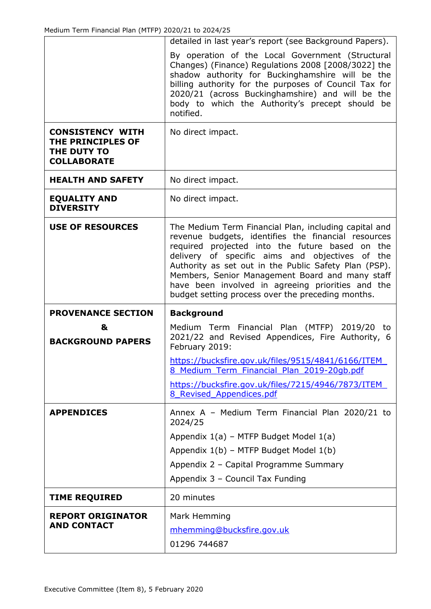|                                                                                   | detailed in last year's report (see Background Papers).                                                                                                                                                                                                                                                                                                                             |
|-----------------------------------------------------------------------------------|-------------------------------------------------------------------------------------------------------------------------------------------------------------------------------------------------------------------------------------------------------------------------------------------------------------------------------------------------------------------------------------|
|                                                                                   | By operation of the Local Government (Structural<br>Changes) (Finance) Regulations 2008 [2008/3022] the<br>shadow authority for Buckinghamshire will be the<br>billing authority for the purposes of Council Tax for<br>2020/21 (across Buckinghamshire) and will be the<br>body to which the Authority's precept should be<br>notified.                                            |
| <b>CONSISTENCY WITH</b><br>THE PRINCIPLES OF<br>THE DUTY TO<br><b>COLLABORATE</b> | No direct impact.                                                                                                                                                                                                                                                                                                                                                                   |
| <b>HEALTH AND SAFETY</b>                                                          | No direct impact.                                                                                                                                                                                                                                                                                                                                                                   |
| <b>EQUALITY AND</b><br><b>DIVERSITY</b>                                           | No direct impact.                                                                                                                                                                                                                                                                                                                                                                   |
| <b>USE OF RESOURCES</b>                                                           | The Medium Term Financial Plan, including capital and<br>revenue budgets, identifies the financial resources<br>required projected into the future based on the<br>delivery of specific aims and objectives of the<br>Authority as set out in the Public Safety Plan (PSP).<br>Members, Senior Management Board and many staff<br>have been involved in agreeing priorities and the |
|                                                                                   | budget setting process over the preceding months.                                                                                                                                                                                                                                                                                                                                   |
| <b>PROVENANCE SECTION</b>                                                         | <b>Background</b>                                                                                                                                                                                                                                                                                                                                                                   |
| &<br><b>BACKGROUND PAPERS</b>                                                     | Medium Term Financial Plan (MTFP) 2019/20 to<br>2021/22 and Revised Appendices, Fire Authority, 6<br>February 2019:                                                                                                                                                                                                                                                                 |
|                                                                                   | https://bucksfire.gov.uk/files/9515/4841/6166/ITEM<br>8 Medium Term Financial Plan 2019-20gb.pdf                                                                                                                                                                                                                                                                                    |
|                                                                                   | https://bucksfire.gov.uk/files/7215/4946/7873/ITEM<br>8 Revised Appendices.pdf                                                                                                                                                                                                                                                                                                      |
| <b>APPENDICES</b>                                                                 | Annex A - Medium Term Financial Plan 2020/21 to<br>2024/25                                                                                                                                                                                                                                                                                                                          |
|                                                                                   | Appendix 1(a) - MTFP Budget Model 1(a)                                                                                                                                                                                                                                                                                                                                              |
|                                                                                   | Appendix 1(b) - MTFP Budget Model 1(b)                                                                                                                                                                                                                                                                                                                                              |
|                                                                                   | Appendix 2 - Capital Programme Summary                                                                                                                                                                                                                                                                                                                                              |
|                                                                                   | Appendix 3 - Council Tax Funding                                                                                                                                                                                                                                                                                                                                                    |
| <b>TIME REQUIRED</b>                                                              | 20 minutes                                                                                                                                                                                                                                                                                                                                                                          |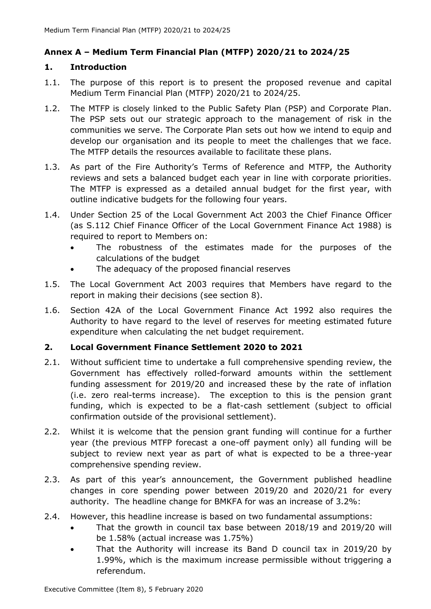# **Annex A – Medium Term Financial Plan (MTFP) 2020/21 to 2024/25**

#### **1. Introduction**

- 1.1. The purpose of this report is to present the proposed revenue and capital Medium Term Financial Plan (MTFP) 2020/21 to 2024/25.
- 1.2. The MTFP is closely linked to the Public Safety Plan (PSP) and Corporate Plan. The PSP sets out our strategic approach to the management of risk in the communities we serve. The Corporate Plan sets out how we intend to equip and develop our organisation and its people to meet the challenges that we face. The MTFP details the resources available to facilitate these plans.
- 1.3. As part of the Fire Authority's Terms of Reference and MTFP, the Authority reviews and sets a balanced budget each year in line with corporate priorities. The MTFP is expressed as a detailed annual budget for the first year, with outline indicative budgets for the following four years.
- 1.4. Under Section 25 of the Local Government Act 2003 the Chief Finance Officer (as S.112 Chief Finance Officer of the Local Government Finance Act 1988) is required to report to Members on:
	- The robustness of the estimates made for the purposes of the calculations of the budget
	- The adequacy of the proposed financial reserves
- 1.5. The Local Government Act 2003 requires that Members have regard to the report in making their decisions (see section 8).
- 1.6. Section 42A of the Local Government Finance Act 1992 also requires the Authority to have regard to the level of reserves for meeting estimated future expenditure when calculating the net budget requirement.

# **2. Local Government Finance Settlement 2020 to 2021**

- 2.1. Without sufficient time to undertake a full comprehensive spending review, the Government has effectively rolled-forward amounts within the settlement funding assessment for 2019/20 and increased these by the rate of inflation (i.e. zero real-terms increase). The exception to this is the pension grant funding, which is expected to be a flat-cash settlement (subject to official confirmation outside of the provisional settlement).
- 2.2. Whilst it is welcome that the pension grant funding will continue for a further year (the previous MTFP forecast a one-off payment only) all funding will be subject to review next year as part of what is expected to be a three-year comprehensive spending review.
- 2.3. As part of this year's announcement, the Government published headline changes in core spending power between 2019/20 and 2020/21 for every authority. The headline change for BMKFA for was an increase of 3.2%:
- 2.4. However, this headline increase is based on two fundamental assumptions:
	- That the growth in council tax base between 2018/19 and 2019/20 will be 1.58% (actual increase was 1.75%)
	- That the Authority will increase its Band D council tax in 2019/20 by 1.99%, which is the maximum increase permissible without triggering a referendum.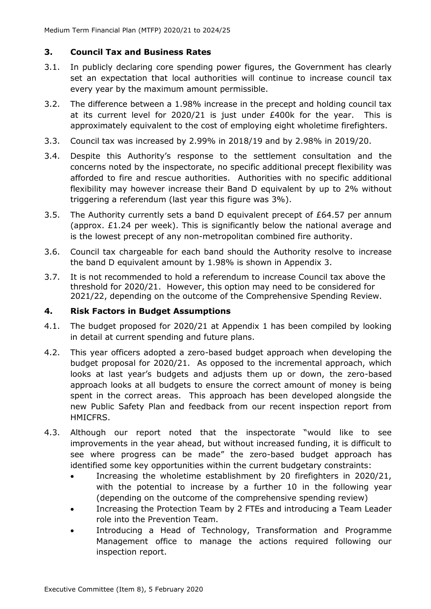# **3. Council Tax and Business Rates**

- 3.1. In publicly declaring core spending power figures, the Government has clearly set an expectation that local authorities will continue to increase council tax every year by the maximum amount permissible.
- 3.2. The difference between a 1.98% increase in the precept and holding council tax at its current level for 2020/21 is just under £400k for the year. This is approximately equivalent to the cost of employing eight wholetime firefighters.
- 3.3. Council tax was increased by 2.99% in 2018/19 and by 2.98% in 2019/20.
- 3.4. Despite this Authority's response to the settlement consultation and the concerns noted by the inspectorate, no specific additional precept flexibility was afforded to fire and rescue authorities. Authorities with no specific additional flexibility may however increase their Band D equivalent by up to 2% without triggering a referendum (last year this figure was 3%).
- 3.5. The Authority currently sets a band D equivalent precept of £64.57 per annum (approx. £1.24 per week). This is significantly below the national average and is the lowest precept of any non-metropolitan combined fire authority.
- 3.6. Council tax chargeable for each band should the Authority resolve to increase the band D equivalent amount by 1.98% is shown in Appendix 3.
- 3.7. It is not recommended to hold a referendum to increase Council tax above the threshold for 2020/21. However, this option may need to be considered for 2021/22, depending on the outcome of the Comprehensive Spending Review.

#### **4. Risk Factors in Budget Assumptions**

- 4.1. The budget proposed for 2020/21 at Appendix 1 has been compiled by looking in detail at current spending and future plans.
- 4.2. This year officers adopted a zero-based budget approach when developing the budget proposal for 2020/21. As opposed to the incremental approach, which looks at last year's budgets and adjusts them up or down, the zero-based approach looks at all budgets to ensure the correct amount of money is being spent in the correct areas. This approach has been developed alongside the new Public Safety Plan and feedback from our recent inspection report from HMICFRS.
- 4.3. Although our report noted that the inspectorate "would like to see improvements in the year ahead, but without increased funding, it is difficult to see where progress can be made" the zero-based budget approach has identified some key opportunities within the current budgetary constraints:
	- Increasing the wholetime establishment by 20 firefighters in 2020/21, with the potential to increase by a further 10 in the following year (depending on the outcome of the comprehensive spending review)
	- Increasing the Protection Team by 2 FTEs and introducing a Team Leader role into the Prevention Team.
	- Introducing a Head of Technology, Transformation and Programme Management office to manage the actions required following our inspection report.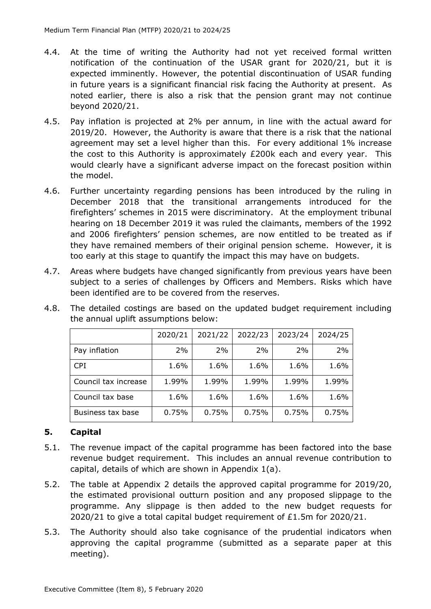- 4.4. At the time of writing the Authority had not yet received formal written notification of the continuation of the USAR grant for 2020/21, but it is expected imminently. However, the potential discontinuation of USAR funding in future years is a significant financial risk facing the Authority at present. As noted earlier, there is also a risk that the pension grant may not continue beyond 2020/21.
- 4.5. Pay inflation is projected at 2% per annum, in line with the actual award for 2019/20. However, the Authority is aware that there is a risk that the national agreement may set a level higher than this. For every additional 1% increase the cost to this Authority is approximately £200k each and every year. This would clearly have a significant adverse impact on the forecast position within the model.
- 4.6. Further uncertainty regarding pensions has been introduced by the ruling in December 2018 that the transitional arrangements introduced for the firefighters' schemes in 2015 were discriminatory. At the employment tribunal hearing on 18 December 2019 it was ruled the claimants, members of the 1992 and 2006 firefighters' pension schemes, are now entitled to be treated as if they have remained members of their original pension scheme. However, it is too early at this stage to quantify the impact this may have on budgets.
- 4.7. Areas where budgets have changed significantly from previous years have been subject to a series of challenges by Officers and Members. Risks which have been identified are to be covered from the reserves.

|                      | 2020/21 | 2021/22 | 2022/23 | 2023/24 | 2024/25 |
|----------------------|---------|---------|---------|---------|---------|
| Pay inflation        | 2%      | 2%      | 2%      | 2%      | 2%      |
| <b>CPI</b>           | 1.6%    | 1.6%    | 1.6%    | 1.6%    | 1.6%    |
| Council tax increase | 1.99%   | 1.99%   | 1.99%   | 1.99%   | 1.99%   |
| Council tax base     | 1.6%    | 1.6%    | 1.6%    | 1.6%    | 1.6%    |
| Business tax base    | 0.75%   | 0.75%   | 0.75%   | 0.75%   | 0.75%   |

4.8. The detailed costings are based on the updated budget requirement including the annual uplift assumptions below:

#### **5. Capital**

- 5.1. The revenue impact of the capital programme has been factored into the base revenue budget requirement. This includes an annual revenue contribution to capital, details of which are shown in Appendix 1(a).
- 5.2. The table at Appendix 2 details the approved capital programme for 2019/20, the estimated provisional outturn position and any proposed slippage to the programme. Any slippage is then added to the new budget requests for 2020/21 to give a total capital budget requirement of £1.5m for 2020/21.
- 5.3. The Authority should also take cognisance of the prudential indicators when approving the capital programme (submitted as a separate paper at this meeting).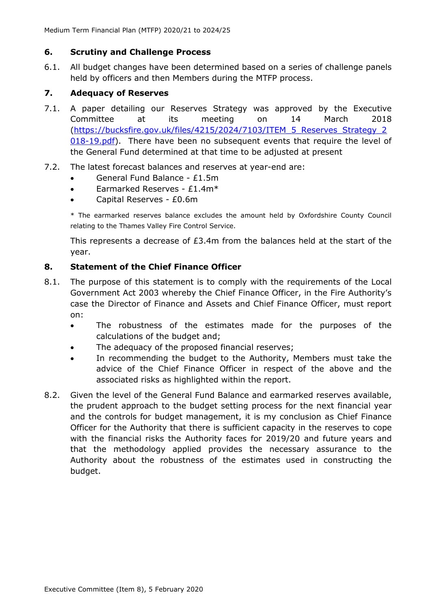## **6. Scrutiny and Challenge Process**

6.1. All budget changes have been determined based on a series of challenge panels held by officers and then Members during the MTFP process.

# **7. Adequacy of Reserves**

- 7.1. A paper detailing our Reserves Strategy was approved by the Executive Committee at its meeting on 14 March 2018 [\(https://bucksfire.gov.uk/files/4215/2024/7103/ITEM\\_5\\_Reserves\\_Strategy\\_2](https://bucksfire.gov.uk/files/4215/2024/7103/ITEM_5_Reserves_Strategy_2018-19.pdf) [018-19.pdf\)](https://bucksfire.gov.uk/files/4215/2024/7103/ITEM_5_Reserves_Strategy_2018-19.pdf). There have been no subsequent events that require the level of the General Fund determined at that time to be adjusted at present
- 7.2. The latest forecast balances and reserves at year-end are:
	- General Fund Balance £1.5m
	- Earmarked Reserves £1.4m\*
	- Capital Reserves £0.6m

\* The earmarked reserves balance excludes the amount held by Oxfordshire County Council relating to the Thames Valley Fire Control Service.

This represents a decrease of £3.4m from the balances held at the start of the year.

# **8. Statement of the Chief Finance Officer**

- 8.1. The purpose of this statement is to comply with the requirements of the Local Government Act 2003 whereby the Chief Finance Officer, in the Fire Authority's case the Director of Finance and Assets and Chief Finance Officer, must report on:
	- The robustness of the estimates made for the purposes of the calculations of the budget and;
	- The adequacy of the proposed financial reserves;
	- In recommending the budget to the Authority, Members must take the advice of the Chief Finance Officer in respect of the above and the associated risks as highlighted within the report.
- 8.2. Given the level of the General Fund Balance and earmarked reserves available, the prudent approach to the budget setting process for the next financial year and the controls for budget management, it is my conclusion as Chief Finance Officer for the Authority that there is sufficient capacity in the reserves to cope with the financial risks the Authority faces for 2019/20 and future years and that the methodology applied provides the necessary assurance to the Authority about the robustness of the estimates used in constructing the budget.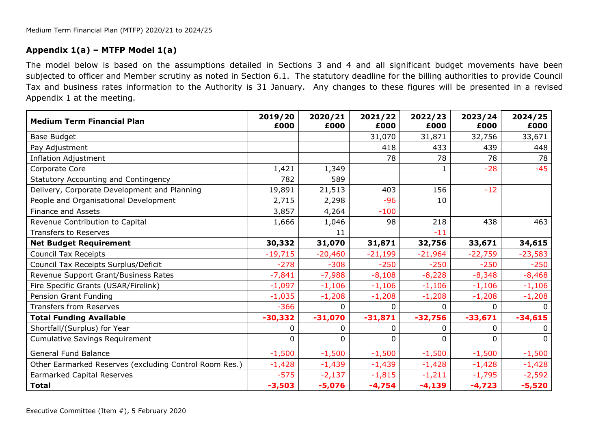# **Appendix 1(a) – MTFP Model 1(a)**

The model below is based on the assumptions detailed in Sections 3 and 4 and all significant budget movements have been subjected to officer and Member scrutiny as noted in Section 6.1. The statutory deadline for the billing authorities to provide Council Tax and business rates information to the Authority is 31 January. Any changes to these figures will be presented in a revised Appendix 1 at the meeting.

| <b>Medium Term Financial Plan</b>                      | 2019/20<br>£000 | 2020/21<br>£000 | 2021/22<br>£000 | 2022/23<br>£000 | 2023/24<br>£000 | 2024/25<br>£000 |
|--------------------------------------------------------|-----------------|-----------------|-----------------|-----------------|-----------------|-----------------|
| Base Budget                                            |                 |                 | 31,070          | 31,871          | 32,756          | 33,671          |
| Pay Adjustment                                         |                 |                 | 418             | 433             | 439             | 448             |
| <b>Inflation Adjustment</b>                            |                 |                 | 78              | 78              | 78              | 78              |
| Corporate Core                                         | 1,421           | 1,349           |                 |                 | $-28$           | $-45$           |
| Statutory Accounting and Contingency                   | 782             | 589             |                 |                 |                 |                 |
| Delivery, Corporate Development and Planning           | 19,891          | 21,513          | 403             | 156             | $-12$           |                 |
| People and Organisational Development                  | 2,715           | 2,298           | $-96$           | 10              |                 |                 |
| <b>Finance and Assets</b>                              | 3,857           | 4,264           | $-100$          |                 |                 |                 |
| Revenue Contribution to Capital                        | 1,666           | 1,046           | 98              | 218             | 438             | 463             |
| <b>Transfers to Reserves</b>                           |                 | 11              |                 | $-11$           |                 |                 |
| <b>Net Budget Requirement</b>                          | 30,332          | 31,070          | 31,871          | 32,756          | 33,671          | 34,615          |
| <b>Council Tax Receipts</b>                            | $-19,715$       | $-20,460$       | $-21,199$       | $-21,964$       | $-22,759$       | $-23,583$       |
| Council Tax Receipts Surplus/Deficit                   | $-278$          | $-308$          | $-250$          | $-250$          | $-250$          | $-250$          |
| Revenue Support Grant/Business Rates                   | $-7,841$        | $-7,988$        | $-8,108$        | $-8,228$        | $-8,348$        | $-8,468$        |
| Fire Specific Grants (USAR/Firelink)                   | $-1,097$        | $-1,106$        | $-1,106$        | $-1,106$        | $-1,106$        | $-1,106$        |
| Pension Grant Funding                                  | $-1,035$        | $-1,208$        | $-1,208$        | $-1,208$        | $-1,208$        | $-1,208$        |
| <b>Transfers from Reserves</b>                         | $-366$          | 0               | 0               | $\Omega$        | 0               | <sup>0</sup>    |
| <b>Total Funding Available</b>                         | $-30,332$       | $-31,070$       | $-31,871$       | $-32,756$       | $-33,671$       | $-34,615$       |
| Shortfall/(Surplus) for Year                           | 0               | 0               | 0               | 0               | 0               | 0               |
| <b>Cumulative Savings Requirement</b>                  | 0               | 0               | 0               | 0               | 0               | 0               |
| <b>General Fund Balance</b>                            | $-1,500$        | $-1,500$        | $-1,500$        | $-1,500$        | $-1,500$        | $-1,500$        |
| Other Earmarked Reserves (excluding Control Room Res.) | $-1,428$        | $-1,439$        | $-1,439$        | $-1,428$        | $-1,428$        | $-1,428$        |
| <b>Earmarked Capital Reserves</b>                      | $-575$          | $-2,137$        | $-1,815$        | $-1,211$        | $-1,795$        | $-2,592$        |
| <b>Total</b>                                           | $-3,503$        | $-5,076$        | $-4,754$        | $-4,139$        | $-4,723$        | $-5,520$        |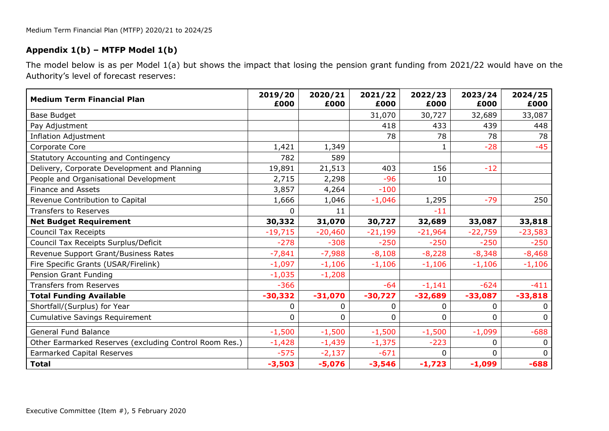# **Appendix 1(b) – MTFP Model 1(b)**

The model below is as per Model 1(a) but shows the impact that losing the pension grant funding from 2021/22 would have on the Authority's level of forecast reserves:

| <b>Medium Term Financial Plan</b>                      | 2019/20<br>£000 | 2020/21<br>£000 | 2021/22<br>£000 | 2022/23<br>£000 | 2023/24<br>£000 | 2024/25<br>£000 |
|--------------------------------------------------------|-----------------|-----------------|-----------------|-----------------|-----------------|-----------------|
| <b>Base Budget</b>                                     |                 |                 | 31,070          | 30,727          | 32,689          | 33,087          |
| Pay Adjustment                                         |                 |                 | 418             | 433             | 439             | 448             |
| <b>Inflation Adjustment</b>                            |                 |                 | 78              | 78              | 78              | 78              |
| Corporate Core                                         | 1,421           | 1,349           |                 | $\mathbf{1}$    | $-28$           | $-45$           |
| Statutory Accounting and Contingency                   | 782             | 589             |                 |                 |                 |                 |
| Delivery, Corporate Development and Planning           | 19,891          | 21,513          | 403             | 156             | $-12$           |                 |
| People and Organisational Development                  | 2,715           | 2,298           | $-96$           | 10              |                 |                 |
| <b>Finance and Assets</b>                              | 3,857           | 4,264           | $-100$          |                 |                 |                 |
| Revenue Contribution to Capital                        | 1,666           | 1,046           | $-1,046$        | 1,295           | $-79$           | 250             |
| <b>Transfers to Reserves</b>                           | 0               | 11              |                 | $-11$           |                 |                 |
| <b>Net Budget Requirement</b>                          | 30,332          | 31,070          | 30,727          | 32,689          | 33,087          | 33,818          |
| <b>Council Tax Receipts</b>                            | $-19,715$       | $-20,460$       | $-21,199$       | $-21,964$       | $-22,759$       | $-23,583$       |
| Council Tax Receipts Surplus/Deficit                   | $-278$          | $-308$          | $-250$          | $-250$          | $-250$          | $-250$          |
| Revenue Support Grant/Business Rates                   | $-7,841$        | $-7,988$        | $-8,108$        | $-8,228$        | $-8,348$        | $-8,468$        |
| Fire Specific Grants (USAR/Firelink)                   | $-1,097$        | $-1,106$        | $-1,106$        | $-1,106$        | $-1,106$        | $-1,106$        |
| Pension Grant Funding                                  | $-1,035$        | $-1,208$        |                 |                 |                 |                 |
| <b>Transfers from Reserves</b>                         | $-366$          |                 | $-64$           | $-1,141$        | $-624$          | $-411$          |
| <b>Total Funding Available</b>                         | $-30,332$       | $-31,070$       | $-30,727$       | $-32,689$       | $-33,087$       | $-33,818$       |
| Shortfall/(Surplus) for Year                           | 0               | 0               | 0               | 0               | 0               | 0               |
| <b>Cumulative Savings Requirement</b>                  | 0               | 0               | $\Omega$        | $\Omega$        | 0               | $\Omega$        |
| <b>General Fund Balance</b>                            | $-1,500$        | $-1,500$        | $-1,500$        | $-1,500$        | $-1,099$        | $-688$          |
| Other Earmarked Reserves (excluding Control Room Res.) | $-1,428$        | $-1,439$        | $-1,375$        | $-223$          | 0               | 0               |
| <b>Earmarked Capital Reserves</b>                      | $-575$          | $-2,137$        | $-671$          | 0               | 0               | 0               |
| <b>Total</b>                                           | $-3,503$        | $-5,076$        | $-3,546$        | $-1,723$        | $-1,099$        | $-688$          |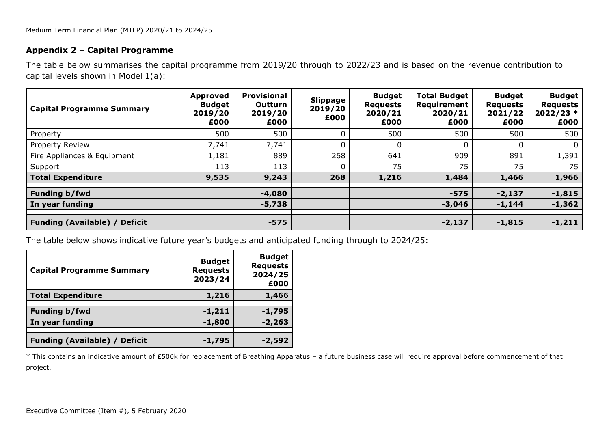#### **Appendix 2 – Capital Programme**

The table below summarises the capital programme from 2019/20 through to 2022/23 and is based on the revenue contribution to capital levels shown in Model 1(a):

| <b>Capital Programme Summary</b>     | Approved<br><b>Budget</b><br>2019/20<br>£000 | <b>Provisional</b><br>Outturn<br>2019/20<br>£000 | <b>Slippage</b><br>2019/20<br>£000 | <b>Budget</b><br><b>Requests</b><br>2020/21<br>£000 | <b>Total Budget</b><br>Requirement<br>2020/21<br>£000 | <b>Budget</b><br><b>Requests</b><br>2021/22<br>£000 | <b>Budget</b><br><b>Requests</b><br>$2022/23*$<br>£000 |
|--------------------------------------|----------------------------------------------|--------------------------------------------------|------------------------------------|-----------------------------------------------------|-------------------------------------------------------|-----------------------------------------------------|--------------------------------------------------------|
| Property                             | 500                                          | 500                                              | $\mathbf{0}$                       | 500                                                 | 500                                                   | 500                                                 | 500                                                    |
| Property Review                      | 7,741                                        | 7,741                                            | $\mathbf{0}$                       | 0                                                   |                                                       |                                                     | $\mathbf{0}$                                           |
| Fire Appliances & Equipment          | 1,181                                        | 889                                              | 268                                | 641                                                 | 909                                                   | 891                                                 | 1,391                                                  |
| Support                              | 113                                          | 113                                              | $\mathbf{0}$                       | 75                                                  | 75                                                    | 75                                                  | 75                                                     |
| <b>Total Expenditure</b>             | 9,535                                        | 9,243                                            | 268                                | 1,216                                               | 1,484                                                 | 1,466                                               | 1,966                                                  |
| Funding b/fwd                        |                                              | $-4,080$                                         |                                    |                                                     | $-575$                                                | $-2,137$                                            | $-1,815$                                               |
| In year funding                      |                                              | $-5,738$                                         |                                    |                                                     | $-3,046$                                              | $-1,144$                                            | $-1,362$                                               |
| <b>Funding (Available) / Deficit</b> |                                              | $-575$                                           |                                    |                                                     | $-2,137$                                              | $-1,815$                                            | $-1,211$                                               |

The table below shows indicative future year's budgets and anticipated funding through to 2024/25:

| <b>Capital Programme Summary</b>     | <b>Budget</b><br><b>Requests</b><br>2023/24 | <b>Budget</b><br><b>Requests</b><br>2024/25<br>£000 |
|--------------------------------------|---------------------------------------------|-----------------------------------------------------|
| <b>Total Expenditure</b>             | 1,216                                       | 1,466                                               |
| <b>Funding b/fwd</b>                 | $-1,211$                                    | $-1,795$                                            |
| In year funding                      | $-1,800$                                    | $-2,263$                                            |
| <b>Funding (Available) / Deficit</b> | $-1,795$                                    | -2,592                                              |

\* This contains an indicative amount of £500k for replacement of Breathing Apparatus – a future business case will require approval before commencement of that project.